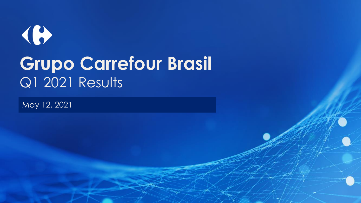# $\bigoplus$ **Grupo Carrefour Brasil** Q1 2021 Results

May 12, 2021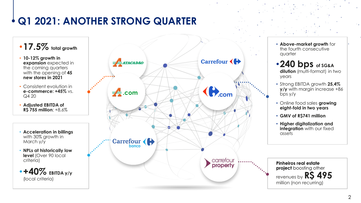## **Q1 2021: ANOTHER STRONG QUARTER**

### •**17.5% total growth**

- **10-12% growth in expansion** expected in the coming quarters with the opening of **45 new stores in 2021**
- Consistent evolution in **e-commerce: +45%** vs.  $Q420$
- **Adjusted EBITDA of R\$ 755 million**; +8,6%
- **Acceleration in billings**  with 30% growth in March y/y
- **NPLs at historically low level** (Over 90 local criteria)





- **Above-market growth** for the fourth consecutive quarter
- •**240 bps of SG&A dilution** (multi-format) in two years
- Strong EBITDA growth **25,4% y/y** with margin increase +86  $bps y/y$
- Online food sales **growing eight-fold in two years**
- **GMV of R\$741 million**
- **Higher digitalization and integration** with our fixed assets

**Pinheiros real estate project** boosting other revenues by **R\$ 495**  million (non recurring)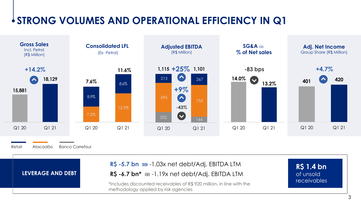## **STRONG VOLUMES AND OPERATIONAL EFFICIENCY IN Q1**

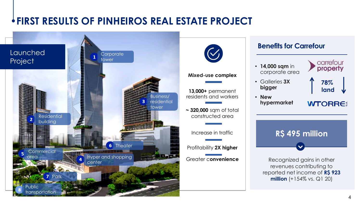## **FIRST RESULTS OF PINHEIROS REAL ESTATE PROJECT**

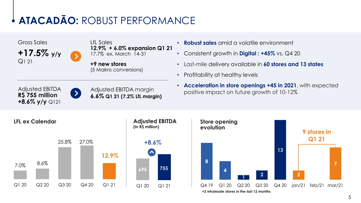## **ATACADÃO:** ROBUST PERFORMANCE



LfL Sales **12.9% + 6.0% expansion Q1 21** 17.7% ex. March 14-31

**+9 new stores**  (5 Makro conversions)

- **Robust sales** amid a volatile environment
- Consistent growth in **Digital : +45%** vs. Q4 20
- Last-mile delivery available in **60 stores and 13 states**
- Profitability at healthy levels

Adjusted EBITDA **R\$ 755 million +8.6% y/y** Q121 Adjusted EBITDA margin **6.6% Q1 21 (7.2% LfL margin)** • **Acceleration in store openings +45 in 2021**, with expected positive impact on future growth of 10-12%



 $\rightarrow$ 

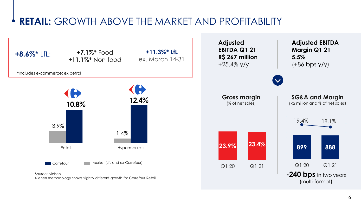### **RETAIL:** GROWTH ABOVE THE MARKET AND PROFITABILITY

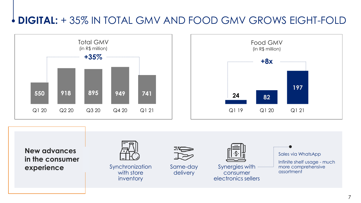## **DIGITAL:** + 35% IN TOTAL GMV AND FOOD GMV GROWS EIGHT-FOLD





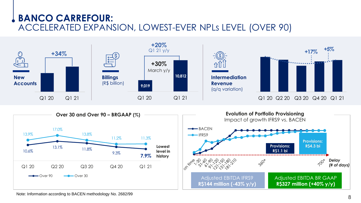### **BANCO CARREFOUR:**  ACCELERATED EXPANSION, LOWEST-EVER NPLs LEVEL (OVER 90)



Note: Information according to BACEN methodology No. 2682/99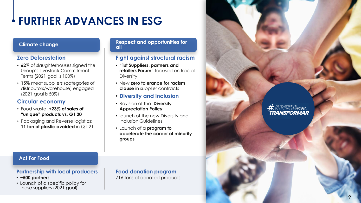## **FURTHER ADVANCES IN ESG**

### **Zero Deforestation**

- **62**% of slaughterhouses signed the Group's Livestock Commitment Terms (2021 goal is 100%)
- **15%** meat suppliers (categories of distributors/warehouse) engaged (2021 goal is 50%)

### **Circular economy**

- Food waste: **+23% of sales of "unique" products vs. Q1 20**
- Packaging and Reverse logistics: **11 ton of plastic avoided** in Q1 21

### **Climate change and opportunities for all**

### **Fight against structural racism**

- **"1st Suppliers, partners and retailers Forum"** focused on Racial Diversity
- New **zero tolerance for racism clause** in supplier contracts
- **Diversity and inclusion**
- Revision of the **Diversity Appreciation Policy**
- launch of the new Diversity and Inclusion Guidelines
- Launch of a **program to accelerate the career of minority groups**

### **Act For Food**

### **Partnership with local producers**

- **~500 partners**
- Launch of a specific policy for these suppliers (2021 goal)

### **Food donation program** 716 tons of donated products

<del>#</del>juntospara *TRANSFORMAR*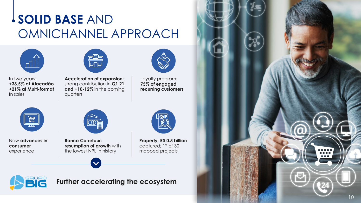## **SOLID BASE** AND OMNICHANNEL APPROACH







**Acceleration of expansion:** strong contribution in **Q1 21 and +10-12%** in the coming quarters



Loyalty program: **75% of engaged recurring customers**



New **advances in consumer**  experience



**Banco Carrefour: resumption of growth** with the lowest NPL in history



**Property: R\$ 0.5 billion**  captured; 1st of 30 mapped projects

**Further accelerating the ecosystem**